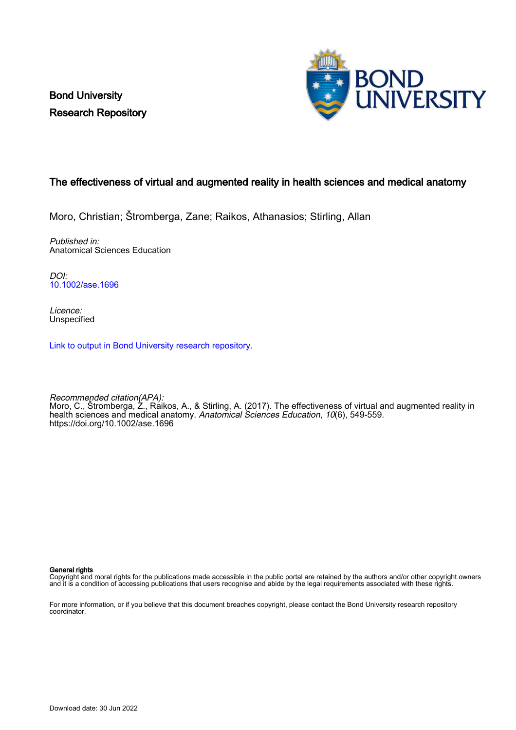Bond University Research Repository



# The effectiveness of virtual and augmented reality in health sciences and medical anatomy

Moro, Christian; Štromberga, Zane; Raikos, Athanasios; Stirling, Allan

Published in: Anatomical Sciences Education

DOI: [10.1002/ase.1696](https://doi.org/10.1002/ase.1696)

Licence: **Unspecified** 

[Link to output in Bond University research repository.](https://research.bond.edu.au/en/publications/d761ced8-4406-4a5e-ae3f-01862a09a36e)

Recommended citation(APA): Moro, C., Štromberga, Z., Raikos, A., & Stirling, A. (2017). The effectiveness of virtual and augmented reality in health sciences and medical anatomy. Anatomical Sciences Education, 10(6), 549-559. <https://doi.org/10.1002/ase.1696>

General rights

Copyright and moral rights for the publications made accessible in the public portal are retained by the authors and/or other copyright owners and it is a condition of accessing publications that users recognise and abide by the legal requirements associated with these rights.

For more information, or if you believe that this document breaches copyright, please contact the Bond University research repository coordinator.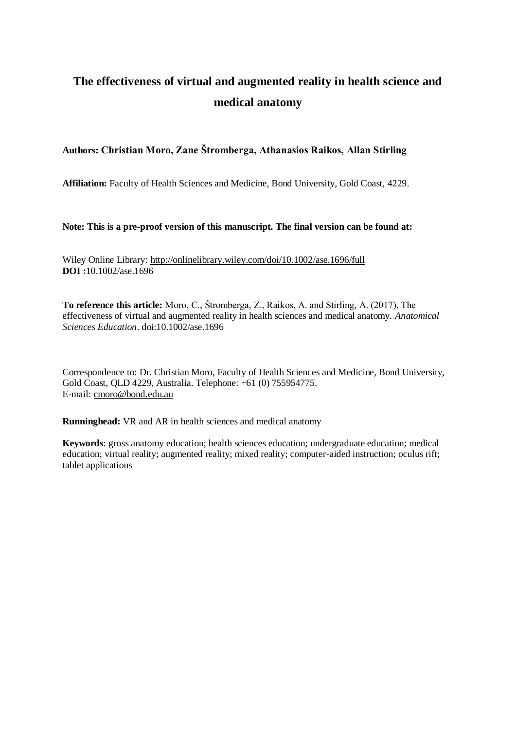# **The effectiveness of virtual and augmented reality in health science and medical anatomy**

# **Authors: Christian Moro, Zane Štromberga, Athanasios Raikos, Allan Stirling**

**Affiliation:** Faculty of Health Sciences and Medicine, Bond University, Gold Coast, 4229.

**Note: This is a pre-proof version of this manuscript. The final version can be found at:**

Wiley Online Library:<http://onlinelibrary.wiley.com/doi/10.1002/ase.1696/full> **DOI :**10.1002/ase.1696

**To reference this article:** Moro, C., Štromberga, Z., Raikos, A. and Stirling, A. (2017), The effectiveness of virtual and augmented reality in health sciences and medical anatomy. *Anatomical Sciences Education*. doi:10.1002/ase.1696

Correspondence to: Dr. Christian Moro, Faculty of Health Sciences and Medicine, Bond University, Gold Coast, QLD 4229, Australia. Telephone: +61 (0) 755954775. E-mail[: cmoro@bond.edu.au](mailto:cmoro@bond.edu.au)

**Runninghead:** VR and AR in health sciences and medical anatomy

**Keywords**: gross anatomy education; health sciences education; undergraduate education; medical education; virtual reality; augmented reality; mixed reality; computer-aided instruction; oculus rift; tablet applications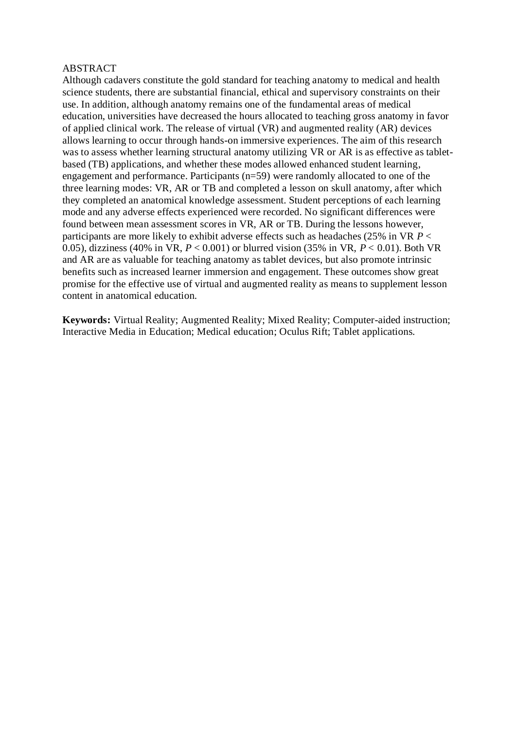#### ABSTRACT

Although cadavers constitute the gold standard for teaching anatomy to medical and health science students, there are substantial financial, ethical and supervisory constraints on their use. In addition, although anatomy remains one of the fundamental areas of medical education, universities have decreased the hours allocated to teaching gross anatomy in favor of applied clinical work. The release of virtual (VR) and augmented reality (AR) devices allows learning to occur through hands-on immersive experiences. The aim of this research was to assess whether learning structural anatomy utilizing VR or AR is as effective as tabletbased (TB) applications, and whether these modes allowed enhanced student learning, engagement and performance. Participants (n=59) were randomly allocated to one of the three learning modes: VR, AR or TB and completed a lesson on skull anatomy, after which they completed an anatomical knowledge assessment. Student perceptions of each learning mode and any adverse effects experienced were recorded. No significant differences were found between mean assessment scores in VR, AR or TB. During the lessons however, participants are more likely to exhibit adverse effects such as headaches (25% in VR *P* < 0.05), dizziness (40% in VR, *P* < 0.001) or blurred vision (35% in VR, *P* < 0.01). Both VR and AR are as valuable for teaching anatomy as tablet devices, but also promote intrinsic benefits such as increased learner immersion and engagement. These outcomes show great promise for the effective use of virtual and augmented reality as means to supplement lesson content in anatomical education.

**Keywords:** Virtual Reality; Augmented Reality; Mixed Reality; Computer-aided instruction; Interactive Media in Education; Medical education; Oculus Rift; Tablet applications.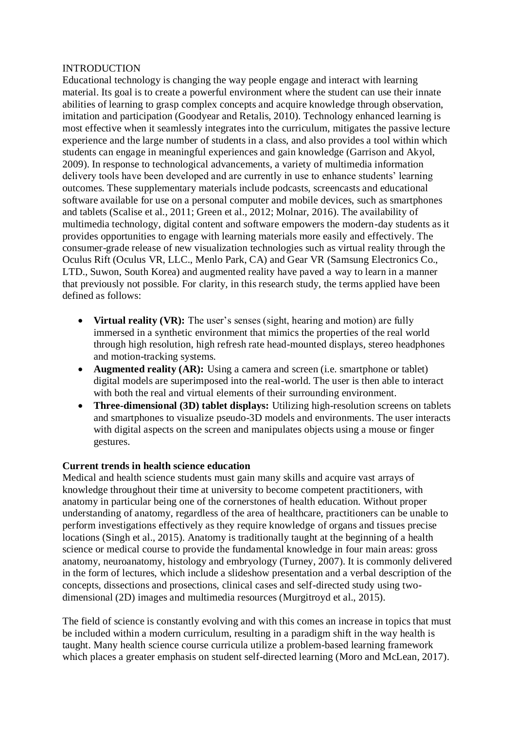## INTRODUCTION

Educational technology is changing the way people engage and interact with learning material. Its goal is to create a powerful environment where the student can use their innate abilities of learning to grasp complex concepts and acquire knowledge through observation, imitation and participation (Goodyear and Retalis, 2010). Technology enhanced learning is most effective when it seamlessly integrates into the curriculum, mitigates the passive lecture experience and the large number of students in a class, and also provides a tool within which students can engage in meaningful experiences and gain knowledge (Garrison and Akyol, 2009). In response to technological advancements, a variety of multimedia information delivery tools have been developed and are currently in use to enhance students' learning outcomes. These supplementary materials include podcasts, screencasts and educational software available for use on a personal computer and mobile devices, such as smartphones and tablets (Scalise et al., 2011; Green et al., 2012; Molnar, 2016). The availability of multimedia technology, digital content and software empowers the modern-day students as it provides opportunities to engage with learning materials more easily and effectively. The consumer-grade release of new visualization technologies such as virtual reality through the Oculus Rift (Oculus VR, LLC., Menlo Park, CA) and Gear VR (Samsung Electronics Co., LTD., Suwon, South Korea) and augmented reality have paved a way to learn in a manner that previously not possible. For clarity, in this research study, the terms applied have been defined as follows:

- **Virtual reality (VR):** The user's senses (sight, hearing and motion) are fully immersed in a synthetic environment that mimics the properties of the real world through high resolution, high refresh rate head-mounted displays, stereo headphones and motion-tracking systems.
- **Augmented reality (AR):** Using a camera and screen (i.e. smartphone or tablet) digital models are superimposed into the real-world. The user is then able to interact with both the real and virtual elements of their surrounding environment.
- **Three-dimensional (3D) tablet displays:** Utilizing high-resolution screens on tablets and smartphones to visualize pseudo-3D models and environments. The user interacts with digital aspects on the screen and manipulates objects using a mouse or finger gestures.

## **Current trends in health science education**

Medical and health science students must gain many skills and acquire vast arrays of knowledge throughout their time at university to become competent practitioners, with anatomy in particular being one of the cornerstones of health education. Without proper understanding of anatomy, regardless of the area of healthcare, practitioners can be unable to perform investigations effectively as they require knowledge of organs and tissues precise locations (Singh et al., 2015). Anatomy is traditionally taught at the beginning of a health science or medical course to provide the fundamental knowledge in four main areas: gross anatomy, neuroanatomy, histology and embryology (Turney, 2007). It is commonly delivered in the form of lectures, which include a slideshow presentation and a verbal description of the concepts, dissections and prosections, clinical cases and self-directed study using twodimensional (2D) images and multimedia resources (Murgitroyd et al., 2015).

The field of science is constantly evolving and with this comes an increase in topics that must be included within a modern curriculum, resulting in a paradigm shift in the way health is taught. Many health science course curricula utilize a problem-based learning framework which places a greater emphasis on student self-directed learning (Moro and McLean, 2017).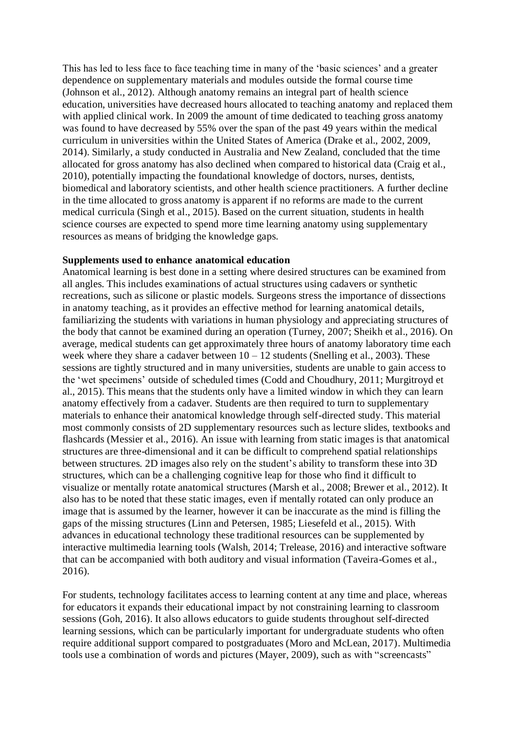This has led to less face to face teaching time in many of the 'basic sciences' and a greater dependence on supplementary materials and modules outside the formal course time (Johnson et al., 2012). Although anatomy remains an integral part of health science education, universities have decreased hours allocated to teaching anatomy and replaced them with applied clinical work. In 2009 the amount of time dedicated to teaching gross anatomy was found to have decreased by 55% over the span of the past 49 years within the medical curriculum in universities within the United States of America (Drake et al., 2002, 2009, 2014). Similarly, a study conducted in Australia and New Zealand, concluded that the time allocated for gross anatomy has also declined when compared to historical data (Craig et al., 2010), potentially impacting the foundational knowledge of doctors, nurses, dentists, biomedical and laboratory scientists, and other health science practitioners. A further decline in the time allocated to gross anatomy is apparent if no reforms are made to the current medical curricula (Singh et al., 2015). Based on the current situation, students in health science courses are expected to spend more time learning anatomy using supplementary resources as means of bridging the knowledge gaps.

#### **Supplements used to enhance anatomical education**

Anatomical learning is best done in a setting where desired structures can be examined from all angles. This includes examinations of actual structures using cadavers or synthetic recreations, such as silicone or plastic models. Surgeons stress the importance of dissections in anatomy teaching, as it provides an effective method for learning anatomical details, familiarizing the students with variations in human physiology and appreciating structures of the body that cannot be examined during an operation (Turney, 2007; Sheikh et al., 2016). On average, medical students can get approximately three hours of anatomy laboratory time each week where they share a cadaver between  $10 - 12$  students (Snelling et al., 2003). These sessions are tightly structured and in many universities, students are unable to gain access to the 'wet specimens' outside of scheduled times (Codd and Choudhury, 2011; Murgitroyd et al., 2015). This means that the students only have a limited window in which they can learn anatomy effectively from a cadaver. Students are then required to turn to supplementary materials to enhance their anatomical knowledge through self-directed study. This material most commonly consists of 2D supplementary resources such as lecture slides, textbooks and flashcards (Messier et al., 2016). An issue with learning from static images is that anatomical structures are three-dimensional and it can be difficult to comprehend spatial relationships between structures. 2D images also rely on the student's ability to transform these into 3D structures, which can be a challenging cognitive leap for those who find it difficult to visualize or mentally rotate anatomical structures (Marsh et al., 2008; Brewer et al., 2012). It also has to be noted that these static images, even if mentally rotated can only produce an image that is assumed by the learner, however it can be inaccurate as the mind is filling the gaps of the missing structures (Linn and Petersen, 1985; Liesefeld et al., 2015). With advances in educational technology these traditional resources can be supplemented by interactive multimedia learning tools (Walsh, 2014; Trelease, 2016) and interactive software that can be accompanied with both auditory and visual information (Taveira-Gomes et al., 2016).

For students, technology facilitates access to learning content at any time and place, whereas for educators it expands their educational impact by not constraining learning to classroom sessions (Goh, 2016). It also allows educators to guide students throughout self-directed learning sessions, which can be particularly important for undergraduate students who often require additional support compared to postgraduates (Moro and McLean, 2017). Multimedia tools use a combination of words and pictures (Mayer, 2009), such as with "screencasts"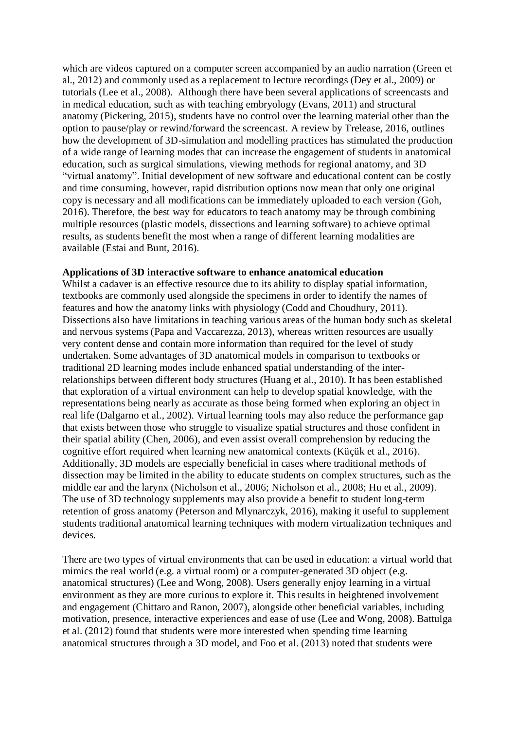which are videos captured on a computer screen accompanied by an audio narration (Green et al., 2012) and commonly used as a replacement to lecture recordings (Dey et al., 2009) or tutorials (Lee et al., 2008). Although there have been several applications of screencasts and in medical education, such as with teaching embryology (Evans, 2011) and structural anatomy (Pickering, 2015), students have no control over the learning material other than the option to pause/play or rewind/forward the screencast. A review by Trelease, 2016, outlines how the development of 3D-simulation and modelling practices has stimulated the production of a wide range of learning modes that can increase the engagement of students in anatomical education, such as surgical simulations, viewing methods for regional anatomy, and 3D "virtual anatomy". Initial development of new software and educational content can be costly and time consuming, however, rapid distribution options now mean that only one original copy is necessary and all modifications can be immediately uploaded to each version (Goh, 2016). Therefore, the best way for educators to teach anatomy may be through combining multiple resources (plastic models, dissections and learning software) to achieve optimal results, as students benefit the most when a range of different learning modalities are available (Estai and Bunt, 2016).

#### **Applications of 3D interactive software to enhance anatomical education**

Whilst a cadaver is an effective resource due to its ability to display spatial information, textbooks are commonly used alongside the specimens in order to identify the names of features and how the anatomy links with physiology (Codd and Choudhury, 2011). Dissections also have limitations in teaching various areas of the human body such as skeletal and nervous systems (Papa and Vaccarezza, 2013), whereas written resources are usually very content dense and contain more information than required for the level of study undertaken. Some advantages of 3D anatomical models in comparison to textbooks or traditional 2D learning modes include enhanced spatial understanding of the interrelationships between different body structures (Huang et al., 2010). It has been established that exploration of a virtual environment can help to develop spatial knowledge, with the representations being nearly as accurate as those being formed when exploring an object in real life (Dalgarno et al., 2002). Virtual learning tools may also reduce the performance gap that exists between those who struggle to visualize spatial structures and those confident in their spatial ability (Chen, 2006), and even assist overall comprehension by reducing the cognitive effort required when learning new anatomical contexts (Küçük et al., 2016). Additionally, 3D models are especially beneficial in cases where traditional methods of dissection may be limited in the ability to educate students on complex structures, such as the middle ear and the larynx (Nicholson et al., 2006; Nicholson et al., 2008; Hu et al., 2009). The use of 3D technology supplements may also provide a benefit to student long-term retention of gross anatomy (Peterson and Mlynarczyk, 2016), making it useful to supplement students traditional anatomical learning techniques with modern virtualization techniques and devices.

There are two types of virtual environments that can be used in education: a virtual world that mimics the real world (e.g. a virtual room) or a computer-generated 3D object (e.g. anatomical structures) (Lee and Wong, 2008). Users generally enjoy learning in a virtual environment as they are more curious to explore it. This results in heightened involvement and engagement (Chittaro and Ranon, 2007), alongside other beneficial variables, including motivation, presence, interactive experiences and ease of use (Lee and Wong, 2008). Battulga et al. (2012) found that students were more interested when spending time learning anatomical structures through a 3D model, and Foo et al. (2013) noted that students were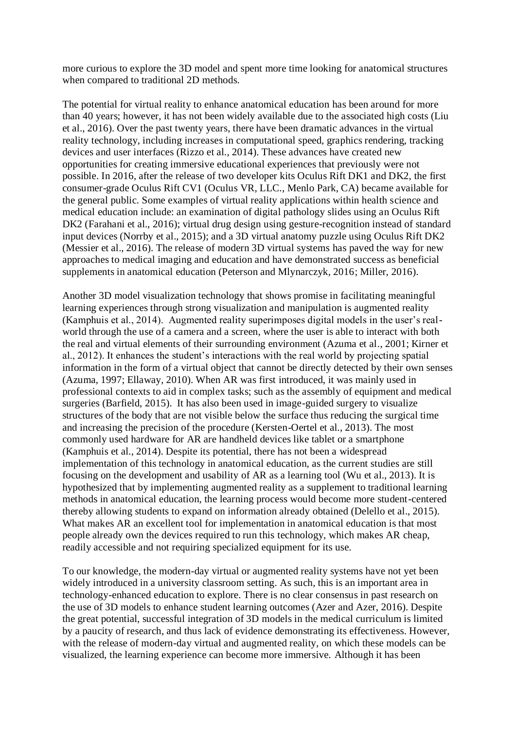more curious to explore the 3D model and spent more time looking for anatomical structures when compared to traditional 2D methods.

The potential for virtual reality to enhance anatomical education has been around for more than 40 years; however, it has not been widely available due to the associated high costs (Liu et al., 2016). Over the past twenty years, there have been dramatic advances in the virtual reality technology, including increases in computational speed, graphics rendering, tracking devices and user interfaces (Rizzo et al., 2014). These advances have created new opportunities for creating immersive educational experiences that previously were not possible. In 2016, after the release of two developer kits Oculus Rift DK1 and DK2, the first consumer-grade Oculus Rift CV1 (Oculus VR, LLC., Menlo Park, CA) became available for the general public. Some examples of virtual reality applications within health science and medical education include: an examination of digital pathology slides using an Oculus Rift DK2 (Farahani et al., 2016); virtual drug design using gesture-recognition instead of standard input devices (Norrby et al., 2015); and a 3D virtual anatomy puzzle using Oculus Rift DK2 (Messier et al., 2016). The release of modern 3D virtual systems has paved the way for new approaches to medical imaging and education and have demonstrated success as beneficial supplements in anatomical education (Peterson and Mlynarczyk, 2016; Miller, 2016).

Another 3D model visualization technology that shows promise in facilitating meaningful learning experiences through strong visualization and manipulation is augmented reality (Kamphuis et al., 2014). Augmented reality superimposes digital models in the user's realworld through the use of a camera and a screen, where the user is able to interact with both the real and virtual elements of their surrounding environment (Azuma et al., 2001; Kirner et al., 2012). It enhances the student's interactions with the real world by projecting spatial information in the form of a virtual object that cannot be directly detected by their own senses (Azuma, 1997; Ellaway, 2010). When AR was first introduced, it was mainly used in professional contexts to aid in complex tasks; such as the assembly of equipment and medical surgeries (Barfield, 2015). It has also been used in image-guided surgery to visualize structures of the body that are not visible below the surface thus reducing the surgical time and increasing the precision of the procedure (Kersten-Oertel et al., 2013). The most commonly used hardware for AR are handheld devices like tablet or a smartphone (Kamphuis et al., 2014). Despite its potential, there has not been a widespread implementation of this technology in anatomical education, as the current studies are still focusing on the development and usability of AR as a learning tool (Wu et al., 2013). It is hypothesized that by implementing augmented reality as a supplement to traditional learning methods in anatomical education, the learning process would become more student-centered thereby allowing students to expand on information already obtained (Delello et al., 2015). What makes AR an excellent tool for implementation in anatomical education is that most people already own the devices required to run this technology, which makes AR cheap, readily accessible and not requiring specialized equipment for its use.

To our knowledge, the modern-day virtual or augmented reality systems have not yet been widely introduced in a university classroom setting. As such, this is an important area in technology-enhanced education to explore. There is no clear consensus in past research on the use of 3D models to enhance student learning outcomes (Azer and Azer, 2016). Despite the great potential, successful integration of 3D models in the medical curriculum is limited by a paucity of research, and thus lack of evidence demonstrating its effectiveness. However, with the release of modern-day virtual and augmented reality, on which these models can be visualized, the learning experience can become more immersive. Although it has been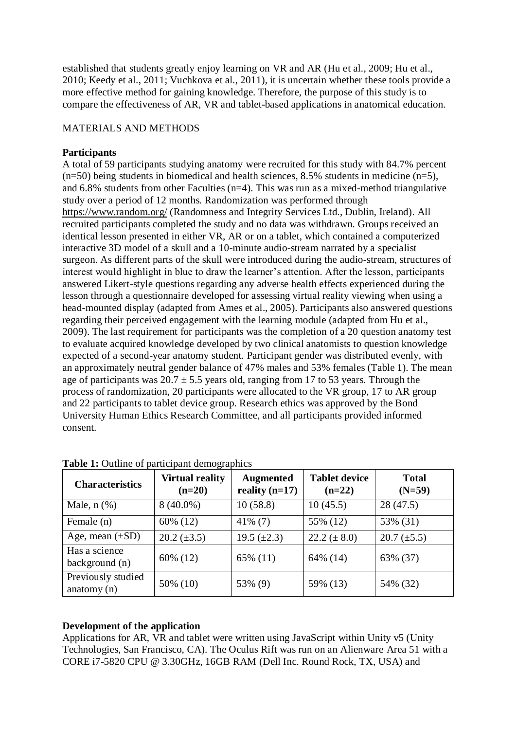established that students greatly enjoy learning on VR and AR (Hu et al., 2009; Hu et al., 2010; Keedy et al., 2011; Vuchkova et al., 2011), it is uncertain whether these tools provide a more effective method for gaining knowledge. Therefore, the purpose of this study is to compare the effectiveness of AR, VR and tablet-based applications in anatomical education.

# MATERIALS AND METHODS

## **Participants**

A total of 59 participants studying anatomy were recruited for this study with 84.7% percent  $(n=50)$  being students in biomedical and health sciences, 8.5% students in medicine  $(n=5)$ , and 6.8% students from other Faculties (n=4). This was run as a mixed-method triangulative study over a period of 12 months. Randomization was performed through <https://www.random.org/> (Randomness and Integrity Services Ltd., Dublin, Ireland). All recruited participants completed the study and no data was withdrawn. Groups received an identical lesson presented in either VR, AR or on a tablet, which contained a computerized interactive 3D model of a skull and a 10-minute audio-stream narrated by a specialist surgeon. As different parts of the skull were introduced during the audio-stream, structures of interest would highlight in blue to draw the learner's attention. After the lesson, participants answered Likert-style questions regarding any adverse health effects experienced during the lesson through a questionnaire developed for assessing virtual reality viewing when using a head-mounted display (adapted from Ames et al., 2005). Participants also answered questions regarding their perceived engagement with the learning module (adapted from Hu et al., 2009). The last requirement for participants was the completion of a 20 question anatomy test to evaluate acquired knowledge developed by two clinical anatomists to question knowledge expected of a second-year anatomy student. Participant gender was distributed evenly, with an approximately neutral gender balance of 47% males and 53% females (Table 1). The mean age of participants was  $20.7 \pm 5.5$  years old, ranging from 17 to 53 years. Through the process of randomization, 20 participants were allocated to the VR group, 17 to AR group and 22 participants to tablet device group. Research ethics was approved by the Bond University Human Ethics Research Committee, and all participants provided informed consent.

| <b>Characteristics</b>              | <b>Virtual reality</b><br>$(n=20)$ | <b>Augmented</b><br>reality $(n=17)$ | <b>Tablet device</b><br>$(n=22)$ | <b>Total</b><br>$(N=59)$ |
|-------------------------------------|------------------------------------|--------------------------------------|----------------------------------|--------------------------|
| Male, $n$ $(\%)$                    | $8(40.0\%)$                        | 10(58.8)                             | 10(45.5)                         | 28(47.5)                 |
| Female (n)                          | 60% (12)                           | $41\%$ (7)                           | 55% (12)                         | 53% (31)                 |
| Age, mean $(\pm SD)$                | $20.2 \ (\pm 3.5)$                 | 19.5 $(\pm 2.3)$                     | $22.2 (\pm 8.0)$                 | $20.7 \ (\pm 5.5)$       |
| Has a science<br>background (n)     | 60% (12)                           | 65% (11)                             | 64% (14)                         | 63% (37)                 |
| Previously studied<br>anatomy $(n)$ | 50% (10)                           | 53% (9)                              | 59% (13)                         | 54% (32)                 |

**Table 1:** Outline of participant demographics

# **Development of the application**

Applications for AR, VR and tablet were written using JavaScript within Unity v5 (Unity Technologies, San Francisco, CA). The Oculus Rift was run on an Alienware Area 51 with a CORE i7-5820 CPU @ 3.30GHz, 16GB RAM (Dell Inc. Round Rock, TX, USA) and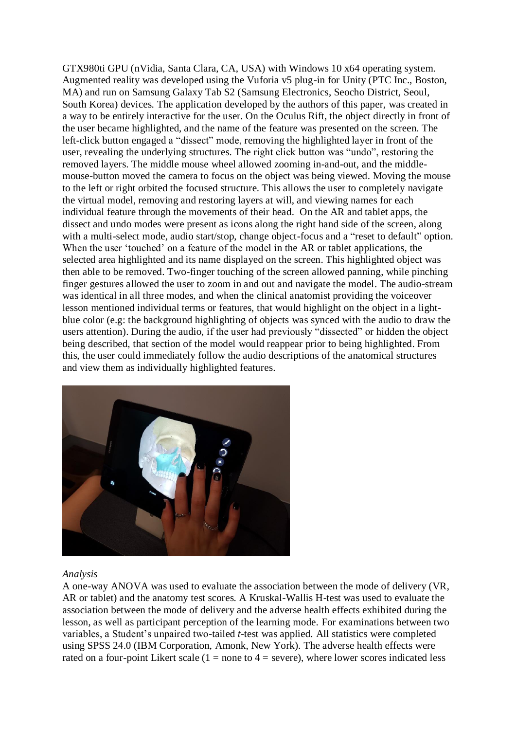GTX980ti GPU (nVidia, Santa Clara, CA, USA) with Windows 10 x64 operating system. Augmented reality was developed using the Vuforia v5 plug-in for Unity (PTC Inc., Boston, MA) and run on Samsung Galaxy Tab S2 (Samsung Electronics, Seocho District, Seoul, South Korea) devices. The application developed by the authors of this paper, was created in a way to be entirely interactive for the user. On the Oculus Rift, the object directly in front of the user became highlighted, and the name of the feature was presented on the screen. The left-click button engaged a "dissect" mode, removing the highlighted layer in front of the user, revealing the underlying structures. The right click button was "undo", restoring the removed layers. The middle mouse wheel allowed zooming in-and-out, and the middlemouse-button moved the camera to focus on the object was being viewed. Moving the mouse to the left or right orbited the focused structure. This allows the user to completely navigate the virtual model, removing and restoring layers at will, and viewing names for each individual feature through the movements of their head. On the AR and tablet apps, the dissect and undo modes were present as icons along the right hand side of the screen, along with a multi-select mode, audio start/stop, change object-focus and a "reset to default" option. When the user 'touched' on a feature of the model in the AR or tablet applications, the selected area highlighted and its name displayed on the screen. This highlighted object was then able to be removed. Two-finger touching of the screen allowed panning, while pinching finger gestures allowed the user to zoom in and out and navigate the model. The audio-stream was identical in all three modes, and when the clinical anatomist providing the voiceover lesson mentioned individual terms or features, that would highlight on the object in a lightblue color (e.g: the background highlighting of objects was synced with the audio to draw the users attention). During the audio, if the user had previously "dissected" or hidden the object being described, that section of the model would reappear prior to being highlighted. From this, the user could immediately follow the audio descriptions of the anatomical structures and view them as individually highlighted features.



#### *Analysis*

A one-way ANOVA was used to evaluate the association between the mode of delivery (VR, AR or tablet) and the anatomy test scores. A Kruskal-Wallis H-test was used to evaluate the association between the mode of delivery and the adverse health effects exhibited during the lesson, as well as participant perception of the learning mode. For examinations between two variables, a Student's unpaired two-tailed *t*-test was applied. All statistics were completed using SPSS 24.0 (IBM Corporation, Amonk, New York). The adverse health effects were rated on a four-point Likert scale  $(1 = none to 4 = severe)$ , where lower scores indicated less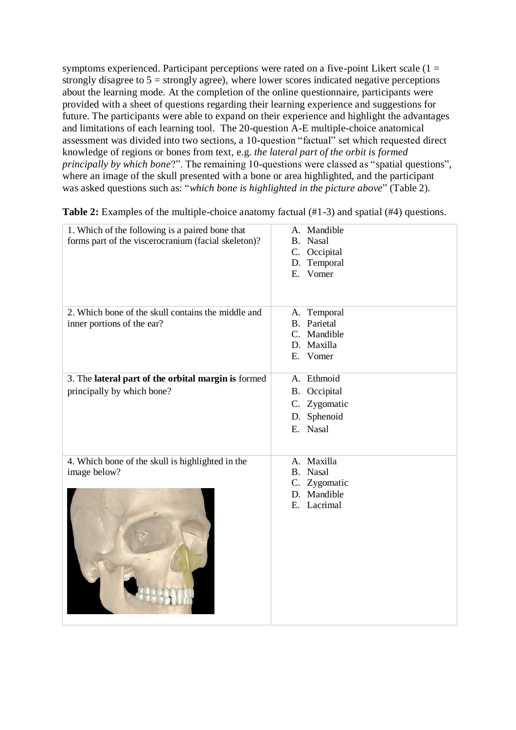symptoms experienced. Participant perceptions were rated on a five-point Likert scale  $(1 =$ strongly disagree to  $5 =$  strongly agree), where lower scores indicated negative perceptions about the learning mode. At the completion of the online questionnaire, participants were provided with a sheet of questions regarding their learning experience and suggestions for future. The participants were able to expand on their experience and highlight the advantages and limitations of each learning tool. The 20-question A-E multiple-choice anatomical assessment was divided into two sections, a 10-question "factual" set which requested direct knowledge of regions or bones from text, e.g. *the lateral part of the orbit is formed principally by which bone*?". The remaining 10-questions were classed as "spatial questions", where an image of the skull presented with a bone or area highlighted, and the participant was asked questions such as: "*which bone is highlighted in the picture above*" (Table 2).

| 1. Which of the following is a paired bone that<br>forms part of the viscerocranium (facial skeleton)? | A. Mandible<br>B. Nasal<br>C. Occipital<br>D. Temporal<br>E. Vomer         |
|--------------------------------------------------------------------------------------------------------|----------------------------------------------------------------------------|
| 2. Which bone of the skull contains the middle and<br>inner portions of the ear?                       | A. Temporal<br><b>B.</b> Parietal<br>C. Mandible<br>D. Maxilla<br>E. Vomer |
| 3. The lateral part of the orbital margin is formed<br>principally by which bone?                      | A. Ethmoid                                                                 |
|                                                                                                        | B. Occipital<br>C. Zygomatic                                               |
|                                                                                                        | D. Sphenoid                                                                |
|                                                                                                        | E. Nasal                                                                   |
|                                                                                                        |                                                                            |
| 4. Which bone of the skull is highlighted in the<br>image below?                                       | A. Maxilla<br>B. Nasal<br>C. Zygomatic<br>D. Mandible<br>E. Lacrimal       |

**Table 2:** Examples of the multiple-choice anatomy factual (#1-3) and spatial (#4) questions.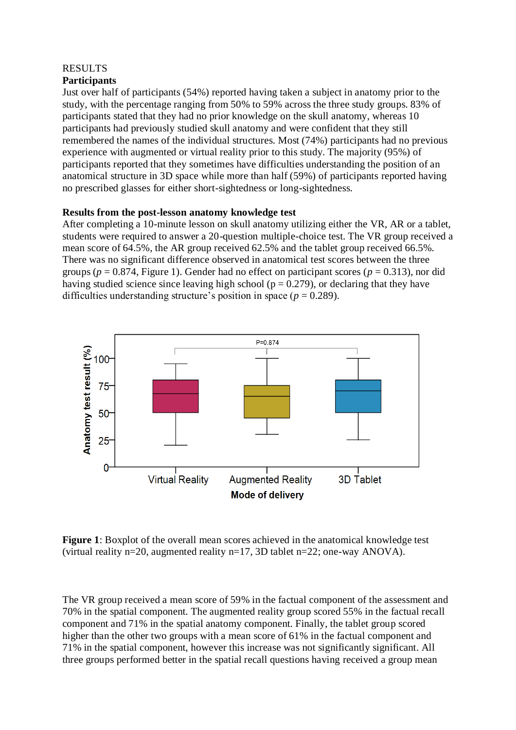#### **RESULTS Participants**

Just over half of participants (54%) reported having taken a subject in anatomy prior to the study, with the percentage ranging from 50% to 59% across the three study groups. 83% of participants stated that they had no prior knowledge on the skull anatomy, whereas 10 participants had previously studied skull anatomy and were confident that they still remembered the names of the individual structures. Most (74%) participants had no previous experience with augmented or virtual reality prior to this study. The majority (95%) of participants reported that they sometimes have difficulties understanding the position of an anatomical structure in 3D space while more than half (59%) of participants reported having no prescribed glasses for either short-sightedness or long-sightedness.

# **Results from the post-lesson anatomy knowledge test**

After completing a 10-minute lesson on skull anatomy utilizing either the VR, AR or a tablet, students were required to answer a 20-question multiple-choice test. The VR group received a mean score of 64.5%, the AR group received 62.5% and the tablet group received 66.5%. There was no significant difference observed in anatomical test scores between the three groups ( $p = 0.874$ , Figure 1). Gender had no effect on participant scores ( $p = 0.313$ ), nor did having studied science since leaving high school ( $p = 0.279$ ), or declaring that they have difficulties understanding structure's position in space ( $p = 0.289$ ).



**Figure 1**: Boxplot of the overall mean scores achieved in the anatomical knowledge test (virtual reality n=20, augmented reality n=17, 3D tablet n=22; one-way ANOVA).

The VR group received a mean score of 59% in the factual component of the assessment and 70% in the spatial component. The augmented reality group scored 55% in the factual recall component and 71% in the spatial anatomy component. Finally, the tablet group scored higher than the other two groups with a mean score of 61% in the factual component and 71% in the spatial component, however this increase was not significantly significant. All three groups performed better in the spatial recall questions having received a group mean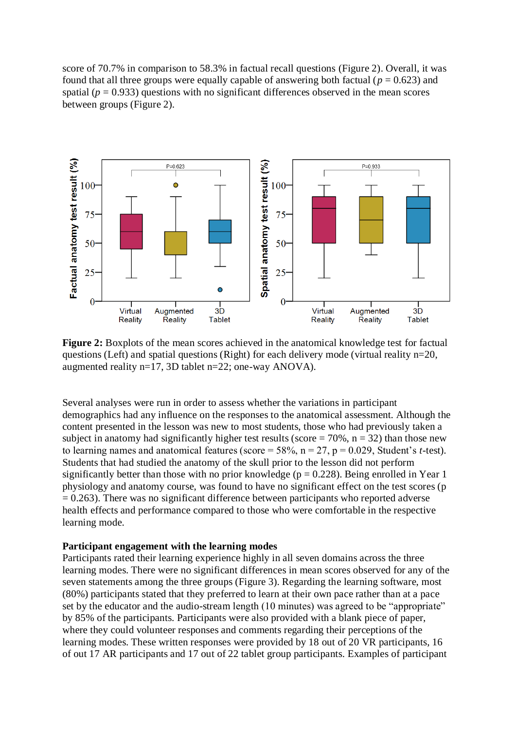score of 70.7% in comparison to 58.3% in factual recall questions (Figure 2). Overall, it was found that all three groups were equally capable of answering both factual ( $p = 0.623$ ) and spatial ( $p = 0.933$ ) questions with no significant differences observed in the mean scores between groups (Figure 2).



**Figure 2:** Boxplots of the mean scores achieved in the anatomical knowledge test for factual questions (Left) and spatial questions (Right) for each delivery mode (virtual reality n=20, augmented reality n=17, 3D tablet n=22; one-way ANOVA).

Several analyses were run in order to assess whether the variations in participant demographics had any influence on the responses to the anatomical assessment. Although the content presented in the lesson was new to most students, those who had previously taken a subject in anatomy had significantly higher test results (score  $= 70\%$ ,  $n = 32$ ) than those new to learning names and anatomical features (score =  $58\%$ , n =  $27$ , p = 0.029, Student's *t*-test). Students that had studied the anatomy of the skull prior to the lesson did not perform significantly better than those with no prior knowledge ( $p = 0.228$ ). Being enrolled in Year 1 physiology and anatomy course, was found to have no significant effect on the test scores (p  $= 0.263$ ). There was no significant difference between participants who reported adverse health effects and performance compared to those who were comfortable in the respective learning mode.

## **Participant engagement with the learning modes**

Participants rated their learning experience highly in all seven domains across the three learning modes. There were no significant differences in mean scores observed for any of the seven statements among the three groups (Figure 3). Regarding the learning software, most (80%) participants stated that they preferred to learn at their own pace rather than at a pace set by the educator and the audio-stream length (10 minutes) was agreed to be "appropriate" by 85% of the participants. Participants were also provided with a blank piece of paper, where they could volunteer responses and comments regarding their perceptions of the learning modes. These written responses were provided by 18 out of 20 VR participants, 16 of out 17 AR participants and 17 out of 22 tablet group participants. Examples of participant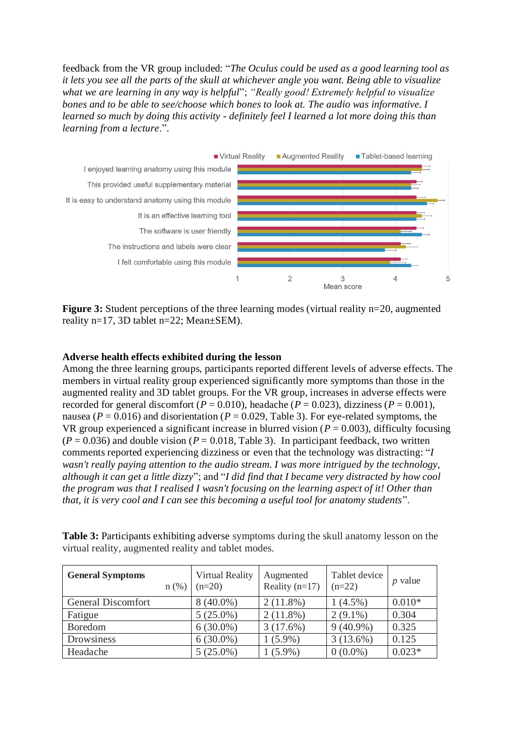feedback from the VR group included: "*The Oculus could be used as a good learning tool as it lets you see all the parts of the skull at whichever angle you want. Being able to visualize what we are learning in any way is helpful*"; *"Really good! Extremely helpful to visualize bones and to be able to see/choose which bones to look at. The audio was informative. I learned so much by doing this activity - definitely feel I learned a lot more doing this than learning from a lecture*.".



**Figure 3:** Student perceptions of the three learning modes (virtual reality n=20, augmented reality n=17, 3D tablet n=22; Mean±SEM).

## **Adverse health effects exhibited during the lesson**

Among the three learning groups, participants reported different levels of adverse effects. The members in virtual reality group experienced significantly more symptoms than those in the augmented reality and 3D tablet groups. For the VR group, increases in adverse effects were recorded for general discomfort ( $P = 0.010$ ), headache ( $P = 0.023$ ), dizziness ( $P = 0.001$ ), nausea ( $P = 0.016$ ) and disorientation ( $P = 0.029$ , Table 3). For eye-related symptoms, the VR group experienced a significant increase in blurred vision ( $P = 0.003$ ), difficulty focusing  $(P = 0.036)$  and double vision  $(P = 0.018,$  Table 3). In participant feedback, two written comments reported experiencing dizziness or even that the technology was distracting: "*I wasn't really paying attention to the audio stream. I was more intrigued by the technology, although it can get a little dizzy*"; and "*I did find that I became very distracted by how cool the program was that I realised I wasn't focusing on the learning aspect of it! Other than that, it is very cool and I can see this becoming a useful tool for anatomy students*".

**Table 3:** Participants exhibiting adverse symptoms during the skull anatomy lesson on the virtual reality, augmented reality and tablet modes.

| <b>General Symptoms</b> | $n$ (%) | Virtual Reality<br>$(n=20)$ | Augmented<br>Reality $(n=17)$ | Tablet device<br>$(n=22)$ | $p$ value |
|-------------------------|---------|-----------------------------|-------------------------------|---------------------------|-----------|
| General Discomfort      |         | $8(40.0\%)$                 | $2(11.8\%)$                   | $(4.5\%)$                 | $0.010*$  |
| Fatigue                 |         | $5(25.0\%)$                 | $2(11.8\%)$                   | $2(9.1\%)$                | 0.304     |
| Boredom                 |         | $6(30.0\%)$                 | 3(17.6%)                      | $9(40.9\%)$               | 0.325     |
| Drowsiness              |         | $6(30.0\%)$                 | $1(5.9\%)$                    | 3(13.6%)                  | 0.125     |
| Headache                |         | $5(25.0\%)$                 | $1(5.9\%)$                    | $0(0.0\%)$                | $0.023*$  |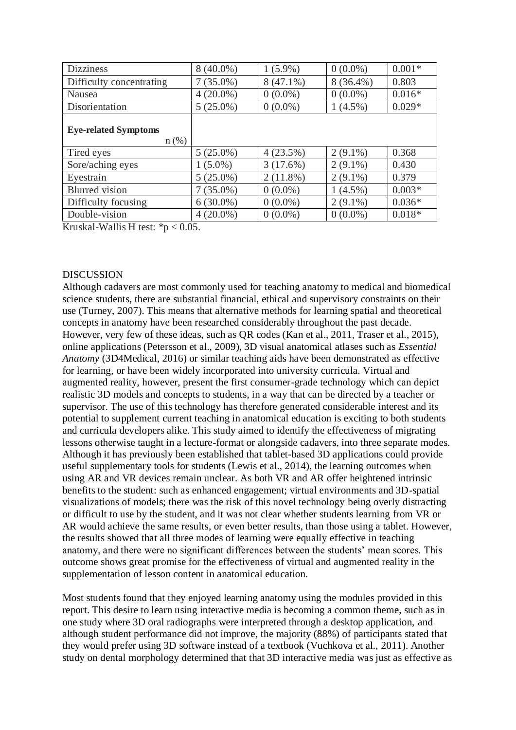| <b>Dizziness</b>                       | $8(40.0\%)$ | $1(5.9\%)$  | $0(0.0\%)$  | $0.001*$ |
|----------------------------------------|-------------|-------------|-------------|----------|
| Difficulty concentrating               | $7(35.0\%)$ | $8(47.1\%)$ | $8(36.4\%)$ | 0.803    |
| Nausea                                 | $4(20.0\%)$ | $0(0.0\%)$  | $0(0.0\%)$  | $0.016*$ |
| Disorientation                         | $5(25.0\%)$ | $0(0.0\%)$  | $1(4.5\%)$  | $0.029*$ |
| <b>Eye-related Symptoms</b><br>$n$ (%) |             |             |             |          |
| Tired eyes                             | $5(25.0\%)$ | 4(23.5%)    | $2(9.1\%)$  | 0.368    |
| Sore/aching eyes                       | $1(5.0\%)$  | 3(17.6%)    | $2(9.1\%)$  | 0.430    |
| Eyestrain                              | $5(25.0\%)$ | $2(11.8\%)$ | $2(9.1\%)$  | 0.379    |
| <b>Blurred</b> vision                  | $7(35.0\%)$ | $0(0.0\%)$  | $1(4.5\%)$  | $0.003*$ |
| Difficulty focusing                    | $6(30.0\%)$ | $0(0.0\%)$  | $2(9.1\%)$  | $0.036*$ |
| Double-vision                          | $4(20.0\%)$ | $0(0.0\%)$  | $0(0.0\%)$  | $0.018*$ |

Kruskal-Wallis H test:  $*p < 0.05$ .

#### **DISCUSSION**

Although cadavers are most commonly used for teaching anatomy to medical and biomedical science students, there are substantial financial, ethical and supervisory constraints on their use (Turney, 2007). This means that alternative methods for learning spatial and theoretical concepts in anatomy have been researched considerably throughout the past decade. However, very few of these ideas, such as QR codes (Kan et al., 2011, Traser et al., 2015), online applications (Petersson et al., 2009), 3D visual anatomical atlases such as *Essential Anatomy* (3D4Medical, 2016) or similar teaching aids have been demonstrated as effective for learning, or have been widely incorporated into university curricula. Virtual and augmented reality, however, present the first consumer-grade technology which can depict realistic 3D models and concepts to students, in a way that can be directed by a teacher or supervisor. The use of this technology has therefore generated considerable interest and its potential to supplement current teaching in anatomical education is exciting to both students and curricula developers alike. This study aimed to identify the effectiveness of migrating lessons otherwise taught in a lecture-format or alongside cadavers, into three separate modes. Although it has previously been established that tablet-based 3D applications could provide useful supplementary tools for students (Lewis et al., 2014), the learning outcomes when using AR and VR devices remain unclear. As both VR and AR offer heightened intrinsic benefits to the student: such as enhanced engagement; virtual environments and 3D-spatial visualizations of models; there was the risk of this novel technology being overly distracting or difficult to use by the student, and it was not clear whether students learning from VR or AR would achieve the same results, or even better results, than those using a tablet. However, the results showed that all three modes of learning were equally effective in teaching anatomy, and there were no significant differences between the students' mean scores. This outcome shows great promise for the effectiveness of virtual and augmented reality in the supplementation of lesson content in anatomical education.

Most students found that they enjoyed learning anatomy using the modules provided in this report. This desire to learn using interactive media is becoming a common theme, such as in one study where 3D oral radiographs were interpreted through a desktop application, and although student performance did not improve, the majority (88%) of participants stated that they would prefer using 3D software instead of a textbook (Vuchkova et al., 2011). Another study on dental morphology determined that that 3D interactive media was just as effective as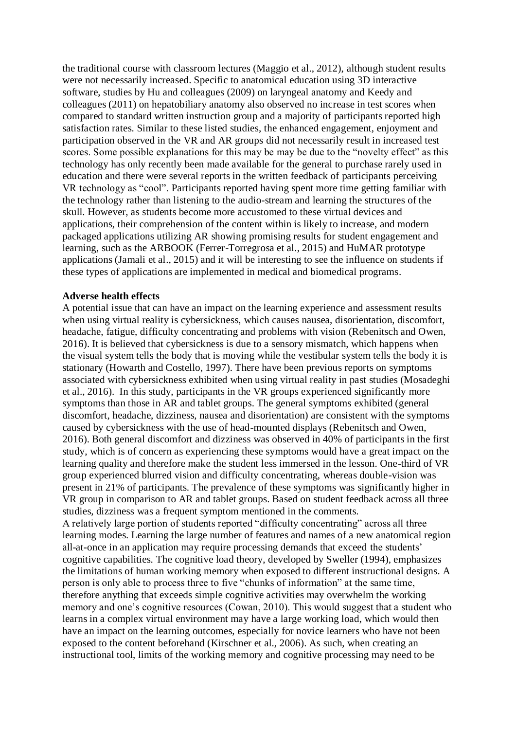the traditional course with classroom lectures (Maggio et al., 2012), although student results were not necessarily increased. Specific to anatomical education using 3D interactive software, studies by Hu and colleagues (2009) on laryngeal anatomy and Keedy and colleagues (2011) on hepatobiliary anatomy also observed no increase in test scores when compared to standard written instruction group and a majority of participants reported high satisfaction rates. Similar to these listed studies, the enhanced engagement, enjoyment and participation observed in the VR and AR groups did not necessarily result in increased test scores. Some possible explanations for this may be may be due to the "novelty effect" as this technology has only recently been made available for the general to purchase rarely used in education and there were several reports in the written feedback of participants perceiving VR technology as "cool". Participants reported having spent more time getting familiar with the technology rather than listening to the audio-stream and learning the structures of the skull. However, as students become more accustomed to these virtual devices and applications, their comprehension of the content within is likely to increase, and modern packaged applications utilizing AR showing promising results for student engagement and learning, such as the ARBOOK (Ferrer-Torregrosa et al., 2015) and HuMAR prototype applications (Jamali et al., 2015) and it will be interesting to see the influence on students if these types of applications are implemented in medical and biomedical programs.

#### **Adverse health effects**

A potential issue that can have an impact on the learning experience and assessment results when using virtual reality is cybersickness, which causes nausea, disorientation, discomfort, headache, fatigue, difficulty concentrating and problems with vision (Rebenitsch and Owen, 2016). It is believed that cybersickness is due to a sensory mismatch, which happens when the visual system tells the body that is moving while the vestibular system tells the body it is stationary (Howarth and Costello, 1997). There have been previous reports on symptoms associated with cybersickness exhibited when using virtual reality in past studies (Mosadeghi et al., 2016). In this study, participants in the VR groups experienced significantly more symptoms than those in AR and tablet groups. The general symptoms exhibited (general discomfort, headache, dizziness, nausea and disorientation) are consistent with the symptoms caused by cybersickness with the use of head-mounted displays (Rebenitsch and Owen, 2016). Both general discomfort and dizziness was observed in 40% of participants in the first study, which is of concern as experiencing these symptoms would have a great impact on the learning quality and therefore make the student less immersed in the lesson. One-third of VR group experienced blurred vision and difficulty concentrating, whereas double-vision was present in 21% of participants. The prevalence of these symptoms was significantly higher in VR group in comparison to AR and tablet groups. Based on student feedback across all three studies, dizziness was a frequent symptom mentioned in the comments. A relatively large portion of students reported "difficulty concentrating" across all three learning modes. Learning the large number of features and names of a new anatomical region all-at-once in an application may require processing demands that exceed the students'

cognitive capabilities. The cognitive load theory, developed by Sweller (1994), emphasizes the limitations of human working memory when exposed to different instructional designs. A person is only able to process three to five "chunks of information" at the same time, therefore anything that exceeds simple cognitive activities may overwhelm the working memory and one's cognitive resources (Cowan, 2010). This would suggest that a student who learns in a complex virtual environment may have a large working load, which would then have an impact on the learning outcomes, especially for novice learners who have not been exposed to the content beforehand (Kirschner et al., 2006). As such, when creating an instructional tool, limits of the working memory and cognitive processing may need to be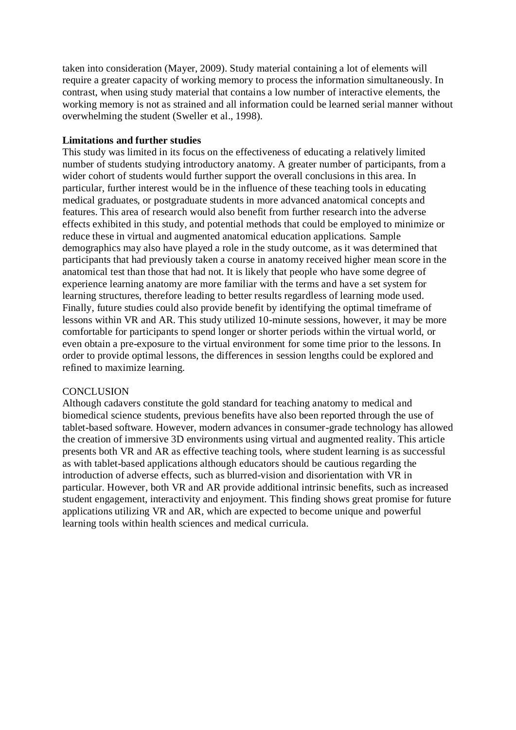taken into consideration (Mayer, 2009). Study material containing a lot of elements will require a greater capacity of working memory to process the information simultaneously. In contrast, when using study material that contains a low number of interactive elements, the working memory is not as strained and all information could be learned serial manner without overwhelming the student (Sweller et al., 1998).

## **Limitations and further studies**

This study was limited in its focus on the effectiveness of educating a relatively limited number of students studying introductory anatomy. A greater number of participants, from a wider cohort of students would further support the overall conclusions in this area. In particular, further interest would be in the influence of these teaching tools in educating medical graduates, or postgraduate students in more advanced anatomical concepts and features. This area of research would also benefit from further research into the adverse effects exhibited in this study, and potential methods that could be employed to minimize or reduce these in virtual and augmented anatomical education applications. Sample demographics may also have played a role in the study outcome, as it was determined that participants that had previously taken a course in anatomy received higher mean score in the anatomical test than those that had not. It is likely that people who have some degree of experience learning anatomy are more familiar with the terms and have a set system for learning structures, therefore leading to better results regardless of learning mode used. Finally, future studies could also provide benefit by identifying the optimal timeframe of lessons within VR and AR. This study utilized 10-minute sessions, however, it may be more comfortable for participants to spend longer or shorter periods within the virtual world, or even obtain a pre-exposure to the virtual environment for some time prior to the lessons. In order to provide optimal lessons, the differences in session lengths could be explored and refined to maximize learning.

## **CONCLUSION**

Although cadavers constitute the gold standard for teaching anatomy to medical and biomedical science students, previous benefits have also been reported through the use of tablet-based software. However, modern advances in consumer-grade technology has allowed the creation of immersive 3D environments using virtual and augmented reality. This article presents both VR and AR as effective teaching tools, where student learning is as successful as with tablet-based applications although educators should be cautious regarding the introduction of adverse effects, such as blurred-vision and disorientation with VR in particular. However, both VR and AR provide additional intrinsic benefits, such as increased student engagement, interactivity and enjoyment. This finding shows great promise for future applications utilizing VR and AR, which are expected to become unique and powerful learning tools within health sciences and medical curricula.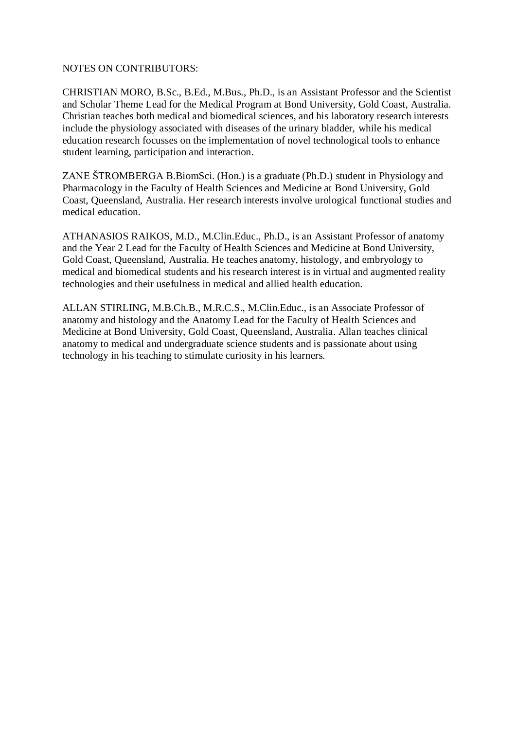## NOTES ON CONTRIBUTORS:

CHRISTIAN MORO, B.Sc., B.Ed., M.Bus., Ph.D., is an Assistant Professor and the Scientist and Scholar Theme Lead for the Medical Program at Bond University, Gold Coast, Australia. Christian teaches both medical and biomedical sciences, and his laboratory research interests include the physiology associated with diseases of the urinary bladder, while his medical education research focusses on the implementation of novel technological tools to enhance student learning, participation and interaction.

ZANE ŠTROMBERGA B.BiomSci. (Hon.) is a graduate (Ph.D.) student in Physiology and Pharmacology in the Faculty of Health Sciences and Medicine at Bond University, Gold Coast, Queensland, Australia. Her research interests involve urological functional studies and medical education.

ATHANASIOS RAIKOS, M.D., M.Clin.Educ., Ph.D., is an Assistant Professor of anatomy and the Year 2 Lead for the Faculty of Health Sciences and Medicine at Bond University, Gold Coast, Queensland, Australia. He teaches anatomy, histology, and embryology to medical and biomedical students and his research interest is in virtual and augmented reality technologies and their usefulness in medical and allied health education.

ALLAN STIRLING, M.B.Ch.B., M.R.C.S., M.Clin.Educ., is an Associate Professor of anatomy and histology and the Anatomy Lead for the Faculty of Health Sciences and Medicine at Bond University, Gold Coast, Queensland, Australia. Allan teaches clinical anatomy to medical and undergraduate science students and is passionate about using technology in his teaching to stimulate curiosity in his learners.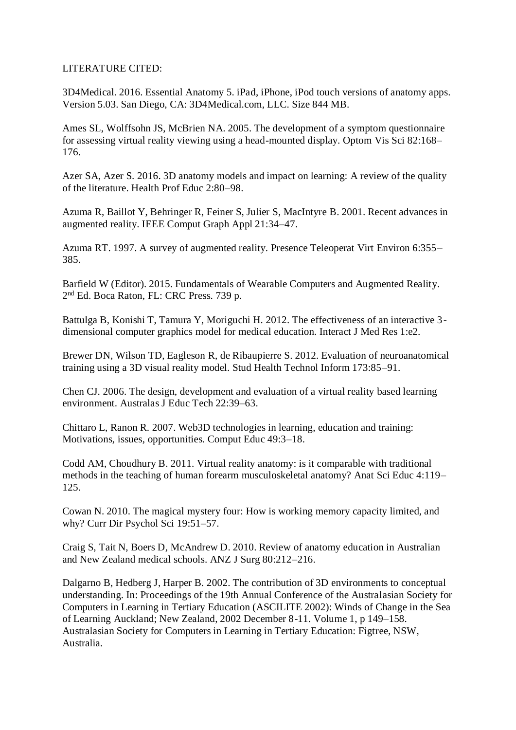## LITERATURE CITED:

3D4Medical. 2016. Essential Anatomy 5. iPad, iPhone, iPod touch versions of anatomy apps. Version 5.03. San Diego, CA: 3D4Medical.com, LLC. Size 844 MB.

Ames SL, Wolffsohn JS, McBrien NA. 2005. The development of a symptom questionnaire for assessing virtual reality viewing using a head-mounted display. Optom Vis Sci 82:168– 176.

Azer SA, Azer S. 2016. 3D anatomy models and impact on learning: A review of the quality of the literature. Health Prof Educ 2:80–98.

Azuma R, Baillot Y, Behringer R, Feiner S, Julier S, MacIntyre B. 2001. Recent advances in augmented reality. IEEE Comput Graph Appl 21:34–47.

Azuma RT. 1997. A survey of augmented reality. Presence Teleoperat Virt Environ 6:355– 385.

Barfield W (Editor). 2015. Fundamentals of Wearable Computers and Augmented Reality. 2 nd Ed. Boca Raton, FL: CRC Press. 739 p.

Battulga B, Konishi T, Tamura Y, Moriguchi H. 2012. The effectiveness of an interactive 3 dimensional computer graphics model for medical education. Interact J Med Res 1:e2.

Brewer DN, Wilson TD, Eagleson R, de Ribaupierre S. 2012. Evaluation of neuroanatomical training using a 3D visual reality model. Stud Health Technol Inform 173:85–91.

Chen CJ. 2006. The design, development and evaluation of a virtual reality based learning environment. Australas J Educ Tech 22:39–63.

Chittaro L, Ranon R. 2007. Web3D technologies in learning, education and training: Motivations, issues, opportunities. Comput Educ 49:3–18.

Codd AM, Choudhury B. 2011. Virtual reality anatomy: is it comparable with traditional methods in the teaching of human forearm musculoskeletal anatomy? Anat Sci Educ 4:119– 125.

Cowan N. 2010. The magical mystery four: How is working memory capacity limited, and why? Curr Dir Psychol Sci 19:51–57.

Craig S, Tait N, Boers D, McAndrew D. 2010. Review of anatomy education in Australian and New Zealand medical schools. ANZ J Surg 80:212–216.

Dalgarno B, Hedberg J, Harper B. 2002. The contribution of 3D environments to conceptual understanding. In: Proceedings of the 19th Annual Conference of the Australasian Society for Computers in Learning in Tertiary Education (ASCILITE 2002): Winds of Change in the Sea of Learning Auckland; New Zealand, 2002 December 8-11. Volume 1, p 149–158. Australasian Society for Computers in Learning in Tertiary Education: Figtree, NSW, Australia.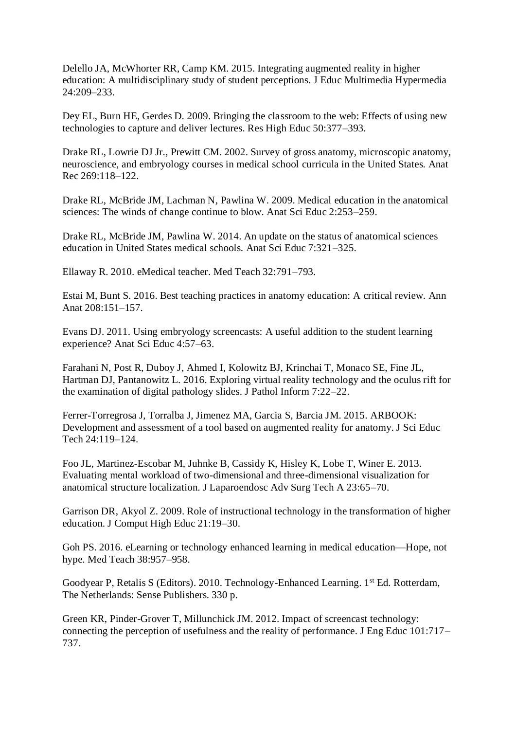Delello JA, McWhorter RR, Camp KM. 2015. Integrating augmented reality in higher education: A multidisciplinary study of student perceptions. J Educ Multimedia Hypermedia 24:209–233.

Dey EL, Burn HE, Gerdes D. 2009. Bringing the classroom to the web: Effects of using new technologies to capture and deliver lectures. Res High Educ 50:377–393.

Drake RL, Lowrie DJ Jr., Prewitt CM. 2002. Survey of gross anatomy, microscopic anatomy, neuroscience, and embryology courses in medical school curricula in the United States. Anat Rec 269:118–122.

Drake RL, McBride JM, Lachman N, Pawlina W. 2009. Medical education in the anatomical sciences: The winds of change continue to blow. Anat Sci Educ 2:253–259.

Drake RL, McBride JM, Pawlina W. 2014. An update on the status of anatomical sciences education in United States medical schools. Anat Sci Educ 7:321–325.

Ellaway R. 2010. eMedical teacher. Med Teach 32:791–793.

Estai M, Bunt S. 2016. Best teaching practices in anatomy education: A critical review. Ann Anat 208:151–157.

Evans DJ. 2011. Using embryology screencasts: A useful addition to the student learning experience? Anat Sci Educ 4:57–63.

Farahani N, Post R, Duboy J, Ahmed I, Kolowitz BJ, Krinchai T, Monaco SE, Fine JL, Hartman DJ, Pantanowitz L. 2016. Exploring virtual reality technology and the oculus rift for the examination of digital pathology slides. J Pathol Inform 7:22–22.

Ferrer-Torregrosa J, Torralba J, Jimenez MA, Garcia S, Barcia JM. 2015. ARBOOK: Development and assessment of a tool based on augmented reality for anatomy. J Sci Educ Tech 24:119–124.

Foo JL, Martinez-Escobar M, Juhnke B, Cassidy K, Hisley K, Lobe T, Winer E. 2013. Evaluating mental workload of two-dimensional and three-dimensional visualization for anatomical structure localization. J Laparoendosc Adv Surg Tech A 23:65–70.

Garrison DR, Akyol Z. 2009. Role of instructional technology in the transformation of higher education. J Comput High Educ 21:19–30.

Goh PS. 2016. eLearning or technology enhanced learning in medical education—Hope, not hype. Med Teach 38:957–958.

Goodyear P, Retalis S (Editors). 2010. Technology-Enhanced Learning. 1<sup>st</sup> Ed. Rotterdam, The Netherlands: Sense Publishers. 330 p.

Green KR, Pinder-Grover T, Millunchick JM. 2012. Impact of screencast technology: connecting the perception of usefulness and the reality of performance. J Eng Educ 101:717– 737.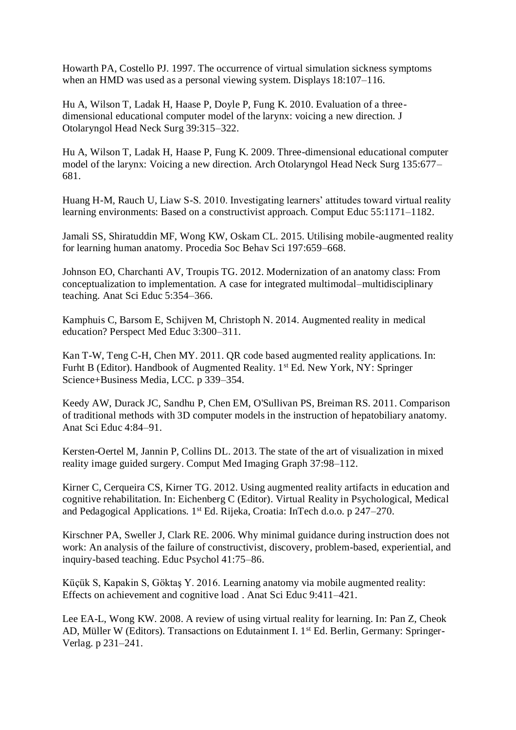Howarth PA, Costello PJ. 1997. The occurrence of virtual simulation sickness symptoms when an HMD was used as a personal viewing system. Displays 18:107–116.

Hu A, Wilson T, Ladak H, Haase P, Doyle P, Fung K. 2010. Evaluation of a threedimensional educational computer model of the larynx: voicing a new direction. J Otolaryngol Head Neck Surg 39:315–322.

Hu A, Wilson T, Ladak H, Haase P, Fung K. 2009. Three-dimensional educational computer model of the larynx: Voicing a new direction. Arch Otolaryngol Head Neck Surg 135:677– 681.

Huang H-M, Rauch U, Liaw S-S. 2010. Investigating learners' attitudes toward virtual reality learning environments: Based on a constructivist approach. Comput Educ 55:1171–1182.

Jamali SS, Shiratuddin MF, Wong KW, Oskam CL. 2015. Utilising mobile-augmented reality for learning human anatomy. Procedia Soc Behav Sci 197:659–668.

Johnson EO, Charchanti AV, Troupis TG. 2012. Modernization of an anatomy class: From conceptualization to implementation. A case for integrated multimodal–multidisciplinary teaching. Anat Sci Educ 5:354–366.

Kamphuis C, Barsom E, Schijven M, Christoph N. 2014. Augmented reality in medical education? Perspect Med Educ 3:300–311.

Kan T-W, Teng C-H, Chen MY. 2011. QR code based augmented reality applications. In: Furht B (Editor). Handbook of Augmented Reality. 1st Ed. New York, NY: Springer Science+Business Media, LCC. p 339–354.

Keedy AW, Durack JC, Sandhu P, Chen EM, O'Sullivan PS, Breiman RS. 2011. Comparison of traditional methods with 3D computer models in the instruction of hepatobiliary anatomy. Anat Sci Educ 4:84–91.

Kersten-Oertel M, Jannin P, Collins DL. 2013. The state of the art of visualization in mixed reality image guided surgery. Comput Med Imaging Graph 37:98–112.

Kirner C, Cerqueira CS, Kirner TG. 2012. Using augmented reality artifacts in education and cognitive rehabilitation. In: Eichenberg C (Editor). Virtual Reality in Psychological, Medical and Pedagogical Applications. 1st Ed. Rijeka, Croatia: InTech d.o.o. p 247–270.

Kirschner PA, Sweller J, Clark RE. 2006. Why minimal guidance during instruction does not work: An analysis of the failure of constructivist, discovery, problem-based, experiential, and inquiry-based teaching. Educ Psychol 41:75–86.

Küçük S, Kapakin S, Göktaş Y. 2016. Learning anatomy via mobile augmented reality: Effects on achievement and cognitive load . Anat Sci Educ 9:411–421.

Lee EA-L, Wong KW. 2008. A review of using virtual reality for learning. In: Pan Z, Cheok AD, Müller W (Editors). Transactions on Edutainment I. 1<sup>st</sup> Ed. Berlin, Germany: Springer-Verlag. p 231–241.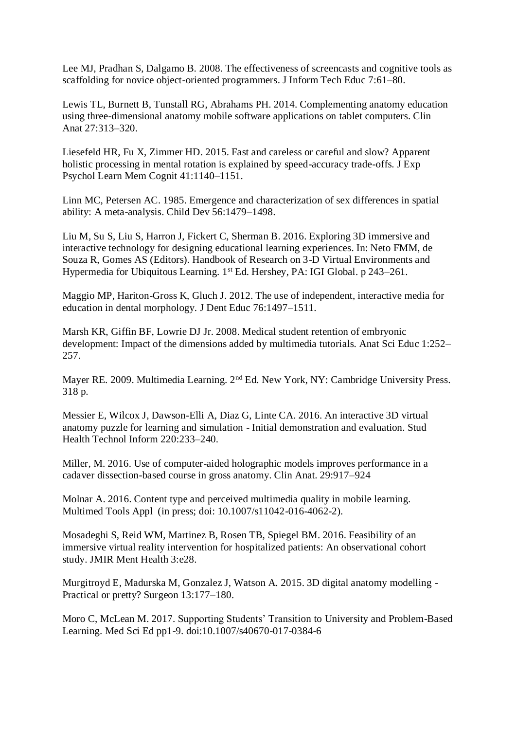Lee MJ, Pradhan S, Dalgamo B. 2008. The effectiveness of screencasts and cognitive tools as scaffolding for novice object-oriented programmers. J Inform Tech Educ 7:61–80.

Lewis TL, Burnett B, Tunstall RG, Abrahams PH. 2014. Complementing anatomy education using three-dimensional anatomy mobile software applications on tablet computers. Clin Anat 27:313–320.

Liesefeld HR, Fu X, Zimmer HD. 2015. Fast and careless or careful and slow? Apparent holistic processing in mental rotation is explained by speed-accuracy trade-offs. J Exp Psychol Learn Mem Cognit 41:1140–1151.

Linn MC, Petersen AC. 1985. Emergence and characterization of sex differences in spatial ability: A meta-analysis. Child Dev 56:1479–1498.

Liu M, Su S, Liu S, Harron J, Fickert C, Sherman B. 2016. Exploring 3D immersive and interactive technology for designing educational learning experiences. In: Neto FMM, de Souza R, Gomes AS (Editors). Handbook of Research on 3-D Virtual Environments and Hypermedia for Ubiquitous Learning. 1st Ed. Hershey, PA: IGI Global. p 243–261.

Maggio MP, Hariton-Gross K, Gluch J. 2012. The use of independent, interactive media for education in dental morphology. J Dent Educ 76:1497–1511.

Marsh KR, Giffin BF, Lowrie DJ Jr. 2008. Medical student retention of embryonic development: Impact of the dimensions added by multimedia tutorials. Anat Sci Educ 1:252– 257.

Mayer RE. 2009. Multimedia Learning. 2nd Ed. New York, NY: Cambridge University Press. 318 p.

Messier E, Wilcox J, Dawson-Elli A, Diaz G, Linte CA. 2016. An interactive 3D virtual anatomy puzzle for learning and simulation - Initial demonstration and evaluation. Stud Health Technol Inform 220:233–240.

Miller, M. 2016. Use of computer-aided holographic models improves performance in a cadaver dissection-based course in gross anatomy. Clin Anat. 29:917–924

Molnar A. 2016. Content type and perceived multimedia quality in mobile learning. Multimed Tools Appl (in press; doi: 10.1007/s11042-016-4062-2).

Mosadeghi S, Reid WM, Martinez B, Rosen TB, Spiegel BM. 2016. Feasibility of an immersive virtual reality intervention for hospitalized patients: An observational cohort study. JMIR Ment Health 3:e28.

Murgitroyd E, Madurska M, Gonzalez J, Watson A. 2015. 3D digital anatomy modelling - Practical or pretty? Surgeon 13:177–180.

Moro C, McLean M. 2017. Supporting Students' Transition to University and Problem-Based Learning. Med Sci Ed pp1-9. doi:10.1007/s40670-017-0384-6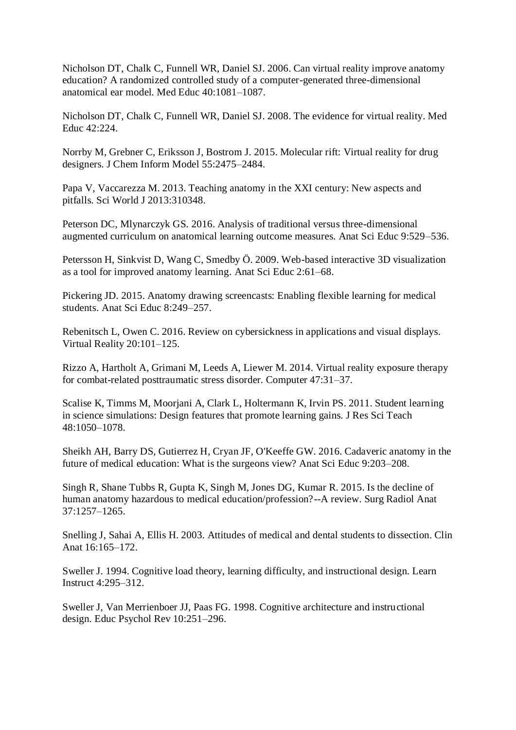Nicholson DT, Chalk C, Funnell WR, Daniel SJ. 2006. Can virtual reality improve anatomy education? A randomized controlled study of a computer-generated three-dimensional anatomical ear model. Med Educ 40:1081–1087.

Nicholson DT, Chalk C, Funnell WR, Daniel SJ. 2008. The evidence for virtual reality. Med Educ 42:224.

Norrby M, Grebner C, Eriksson J, Bostrom J. 2015. Molecular rift: Virtual reality for drug designers. J Chem Inform Model 55:2475–2484.

Papa V, Vaccarezza M. 2013. Teaching anatomy in the XXI century: New aspects and pitfalls. Sci World J 2013:310348.

Peterson DC, Mlynarczyk GS. 2016. Analysis of traditional versus three-dimensional augmented curriculum on anatomical learning outcome measures. Anat Sci Educ 9:529–536.

Petersson H, Sinkvist D, Wang C, Smedby Ö. 2009. Web-based interactive 3D visualization as a tool for improved anatomy learning. Anat Sci Educ 2:61–68.

Pickering JD. 2015. Anatomy drawing screencasts: Enabling flexible learning for medical students. Anat Sci Educ 8:249–257.

Rebenitsch L, Owen C. 2016. Review on cybersickness in applications and visual displays. Virtual Reality 20:101–125.

Rizzo A, Hartholt A, Grimani M, Leeds A, Liewer M. 2014. Virtual reality exposure therapy for combat-related posttraumatic stress disorder. Computer 47:31–37.

Scalise K, Timms M, Moorjani A, Clark L, Holtermann K, Irvin PS. 2011. Student learning in science simulations: Design features that promote learning gains. J Res Sci Teach 48:1050–1078.

Sheikh AH, Barry DS, Gutierrez H, Cryan JF, O'Keeffe GW. 2016. Cadaveric anatomy in the future of medical education: What is the surgeons view? Anat Sci Educ 9:203–208.

Singh R, Shane Tubbs R, Gupta K, Singh M, Jones DG, Kumar R. 2015. Is the decline of human anatomy hazardous to medical education/profession?--A review. Surg Radiol Anat 37:1257–1265.

Snelling J, Sahai A, Ellis H. 2003. Attitudes of medical and dental students to dissection. Clin Anat 16:165–172.

Sweller J. 1994. Cognitive load theory, learning difficulty, and instructional design. Learn Instruct 4:295–312.

Sweller J, Van Merrienboer JJ, Paas FG. 1998. Cognitive architecture and instructional design. Educ Psychol Rev 10:251–296.